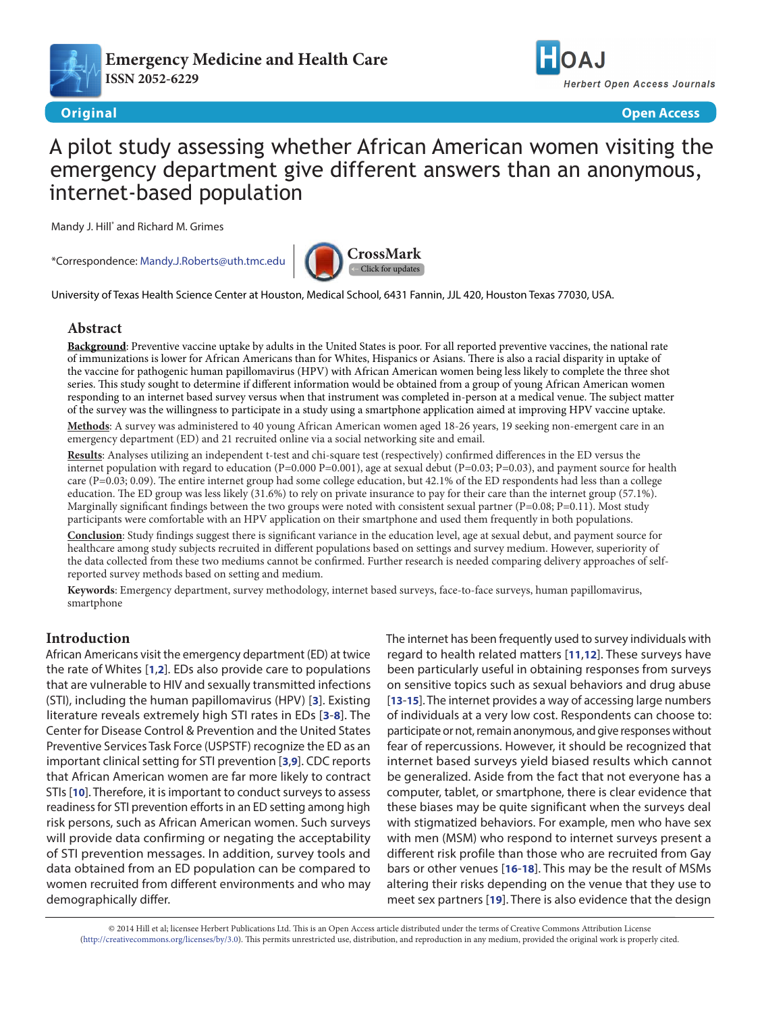

**[Emergency Medicine and Health Care](http://www.hoajonline.com/emergmedhealthcare) ISSN 2052-6229**



**Original Open Access**

# A pilot study assessing whether African American women visiting the emergency department give different answers than an anonymous, internet-based population

Mandy J. Hill\* and Richard M. Grimes

\*Correspondence: [Mandy.J.Roberts@uth.tmc.edu](mailto:Mandy.J.Roberts%40uth.tmc.edu?subject=)



University of Texas Health Science Center at Houston, Medical School, 6431 Fannin, JJL 420, Houston Texas 77030, USA.

# **Abstract**

**Background**: Preventive vaccine uptake by adults in the United States is poor. For all reported preventive vaccines, the national rate of immunizations is lower for African Americans than for Whites, Hispanics or Asians. There is also a racial disparity in uptake of the vaccine for pathogenic human papillomavirus (HPV) with African American women being less likely to complete the three shot series. This study sought to determine if different information would be obtained from a group of young African American women responding to an internet based survey versus when that instrument was completed in-person at a medical venue. The subject matter of the survey was the willingness to participate in a study using a smartphone application aimed at improving HPV vaccine uptake.

**Methods**: A survey was administered to 40 young African American women aged 18-26 years, 19 seeking non-emergent care in an emergency department (ED) and 21 recruited online via a social networking site and email.

**Results**: Analyses utilizing an independent t-test and chi-square test (respectively) confirmed differences in the ED versus the internet population with regard to education (P=0.000 P=0.001), age at sexual debut (P=0.03; P=0.03), and payment source for health care (P=0.03; 0.09). The entire internet group had some college education, but 42.1% of the ED respondents had less than a college education. The ED group was less likely (31.6%) to rely on private insurance to pay for their care than the internet group (57.1%). Marginally significant findings between the two groups were noted with consistent sexual partner  $(P=0.08; P=0.11)$ . Most study participants were comfortable with an HPV application on their smartphone and used them frequently in both populations.

**Conclusion**: Study findings suggest there is significant variance in the education level, age at sexual debut, and payment source for healthcare among study subjects recruited in different populations based on settings and survey medium. However, superiority of the data collected from these two mediums cannot be confirmed. Further research is needed comparing delivery approaches of selfreported survey methods based on setting and medium.

**Keywords**: Emergency department, survey methodology, internet based surveys, face-to-face surveys, human papillomavirus, smartphone

# **Introduction**

African Americans visit the emergency department (ED) at twice the rate of Whites [**[1](#page-4-0)**,**[2](#page-4-1)**]. EDs also provide care to populations that are vulnerable to HIV and sexually transmitted infections (STI), including the human papillomavirus (HPV) [**[3](#page-4-2)**]. Existing literature reveals extremely high STI rates in EDs [**[3](#page-4-2)**-**[8](#page-4-3)**]. The Center for Disease Control & Prevention and the United States Preventive Services Task Force (USPSTF) recognize the ED as an important clinical setting for STI prevention [**[3](#page-4-2)**,**[9](#page-4-4)**]. CDC reports that African American women are far more likely to contract STIs [**[10](#page-4-5)**]. Therefore, it is important to conduct surveys to assess readiness for STI prevention efforts in an ED setting among high risk persons, such as African American women. Such surveys will provide data confirming or negating the acceptability of STI prevention messages. In addition, survey tools and data obtained from an ED population can be compared to women recruited from different environments and who may demographically differ.

The internet has been frequently used to survey individuals with regard to health related matters [**[11](#page-4-6)**,**[12](#page-4-7)**]. These surveys have been particularly useful in obtaining responses from surveys on sensitive topics such as sexual behaviors and drug abuse [**[13](#page-4-8)**-**[15](#page-4-9)**]. The internet provides a way of accessing large numbers of individuals at a very low cost. Respondents can choose to: participate or not, remain anonymous, and give responses without fear of repercussions. However, it should be recognized that internet based surveys yield biased results which cannot be generalized. Aside from the fact that not everyone has a computer, tablet, or smartphone, there is clear evidence that these biases may be quite significant when the surveys deal with stigmatized behaviors. For example, men who have sex with men (MSM) who respond to internet surveys present a different risk profile than those who are recruited from Gay bars or other venues [**[16](#page-4-10)**-**[18](#page-4-11)**]. This may be the result of MSMs altering their risks depending on the venue that they use to meet sex partners [**[19](#page-4-12)**]. There is also evidence that the design

© 2014 Hill et al; licensee Herbert Publications Ltd. This is an Open Access article distributed under the terms of Creative Commons Attribution License [\(http://creativecommons.org/licenses/by/3.0\)](http://creativecommons.org/licenses/by/3.0). This permits unrestricted use, distribution, and reproduction in any medium, provided the original work is properly cited.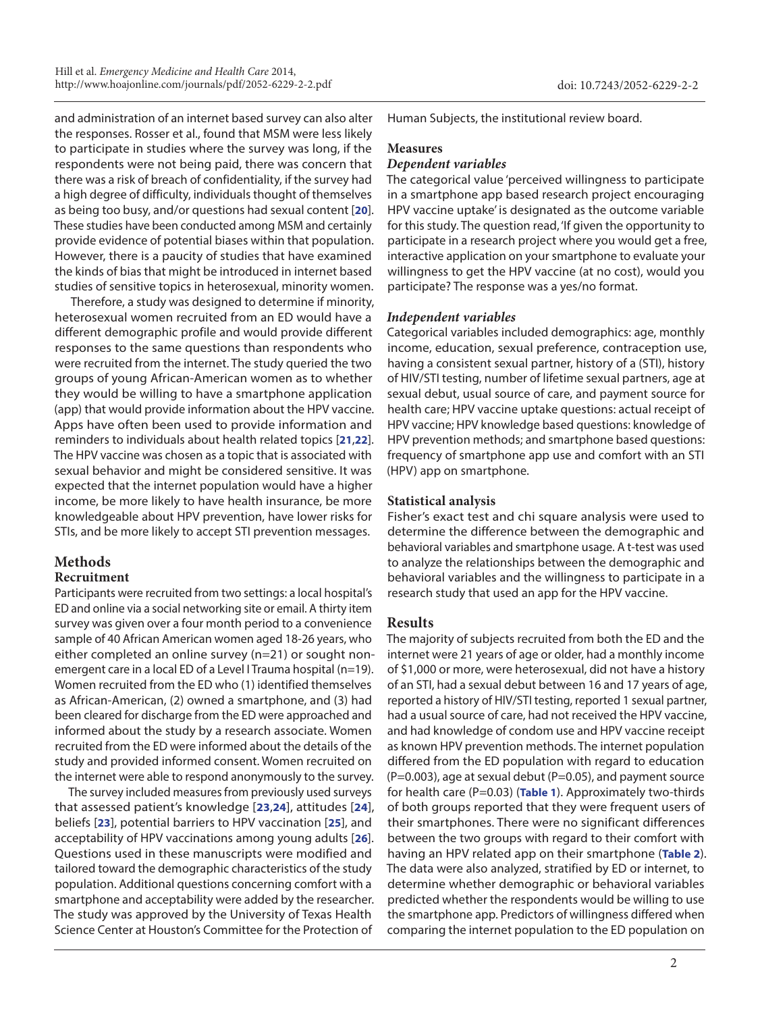and administration of an internet based survey can also alter the responses. Rosser et al., found that MSM were less likely to participate in studies where the survey was long, if the respondents were not being paid, there was concern that there was a risk of breach of confidentiality, if the survey had a high degree of difficulty, individuals thought of themselves as being too busy, and/or questions had sexual content [**[20](#page-4-13)**]. These studies have been conducted among MSM and certainly provide evidence of potential biases within that population. However, there is a paucity of studies that have examined the kinds of bias that might be introduced in internet based studies of sensitive topics in heterosexual, minority women.

 Therefore, a study was designed to determine if minority, heterosexual women recruited from an ED would have a different demographic profile and would provide different responses to the same questions than respondents who were recruited from the internet. The study queried the two groups of young African-American women as to whether they would be willing to have a smartphone application (app) that would provide information about the HPV vaccine. Apps have often been used to provide information and reminders to individuals about health related topics [**[21](#page-4-14)**,**[22](#page-4-15)**]. The HPV vaccine was chosen as a topic that is associated with sexual behavior and might be considered sensitive. It was expected that the internet population would have a higher income, be more likely to have health insurance, be more knowledgeable about HPV prevention, have lower risks for STIs, and be more likely to accept STI prevention messages.

## **Methods**

# **Recruitment**

Participants were recruited from two settings: a local hospital's ED and online via a social networking site or email. A thirty item survey was given over a four month period to a convenience sample of 40 African American women aged 18-26 years, who either completed an online survey (n=21) or sought nonemergent care in a local ED of a Level I Trauma hospital (n=19). Women recruited from the ED who (1) identified themselves as African-American, (2) owned a smartphone, and (3) had been cleared for discharge from the ED were approached and informed about the study by a research associate. Women recruited from the ED were informed about the details of the study and provided informed consent. Women recruited on the internet were able to respond anonymously to the survey.

The survey included measures from previously used surveys that assessed patient's knowledge [**[23](#page-4-16)**,**[24](#page-4-17)**], attitudes [**[24](#page-4-17)**], beliefs [**[23](#page-4-16)**], potential barriers to HPV vaccination [**[25](#page-4-18)**], and acceptability of HPV vaccinations among young adults [**[26](#page-4-19)**]. Questions used in these manuscripts were modified and tailored toward the demographic characteristics of the study population. Additional questions concerning comfort with a smartphone and acceptability were added by the researcher. The study was approved by the University of Texas Health Science Center at Houston's Committee for the Protection of

Human Subjects, the institutional review board.

# **Measures**

#### *Dependent variables*

The categorical value 'perceived willingness to participate in a smartphone app based research project encouraging HPV vaccine uptake' is designated as the outcome variable for this study. The question read, 'If given the opportunity to participate in a research project where you would get a free, interactive application on your smartphone to evaluate your willingness to get the HPV vaccine (at no cost), would you participate? The response was a yes/no format.

## *Independent variables*

Categorical variables included demographics: age, monthly income, education, sexual preference, contraception use, having a consistent sexual partner, history of a (STI), history of HIV/STI testing, number of lifetime sexual partners, age at sexual debut, usual source of care, and payment source for health care; HPV vaccine uptake questions: actual receipt of HPV vaccine; HPV knowledge based questions: knowledge of HPV prevention methods; and smartphone based questions: frequency of smartphone app use and comfort with an STI (HPV) app on smartphone.

# **Statistical analysis**

Fisher's exact test and chi square analysis were used to determine the difference between the demographic and behavioral variables and smartphone usage. A t-test was used to analyze the relationships between the demographic and behavioral variables and the willingness to participate in a research study that used an app for the HPV vaccine.

# **Results**

The majority of subjects recruited from both the ED and the internet were 21 years of age or older, had a monthly income of \$1,000 or more, were heterosexual, did not have a history of an STI, had a sexual debut between 16 and 17 years of age, reported a history of HIV/STI testing, reported 1 sexual partner, had a usual source of care, had not received the HPV vaccine, and had knowledge of condom use and HPV vaccine receipt as known HPV prevention methods. The internet population differed from the ED population with regard to education  $(P=0.003)$ , age at sexual debut  $(P=0.05)$ , and payment source for health care (P=0.03) (**[Table 1](#page-2-0)**). Approximately two-thirds of both groups reported that they were frequent users of their smartphones. There were no significant differences between the two groups with regard to their comfort with having an HPV related app on their smartphone (**[Table 2](#page-3-0)**). The data were also analyzed, stratified by ED or internet, to determine whether demographic or behavioral variables predicted whether the respondents would be willing to use the smartphone app. Predictors of willingness differed when comparing the internet population to the ED population on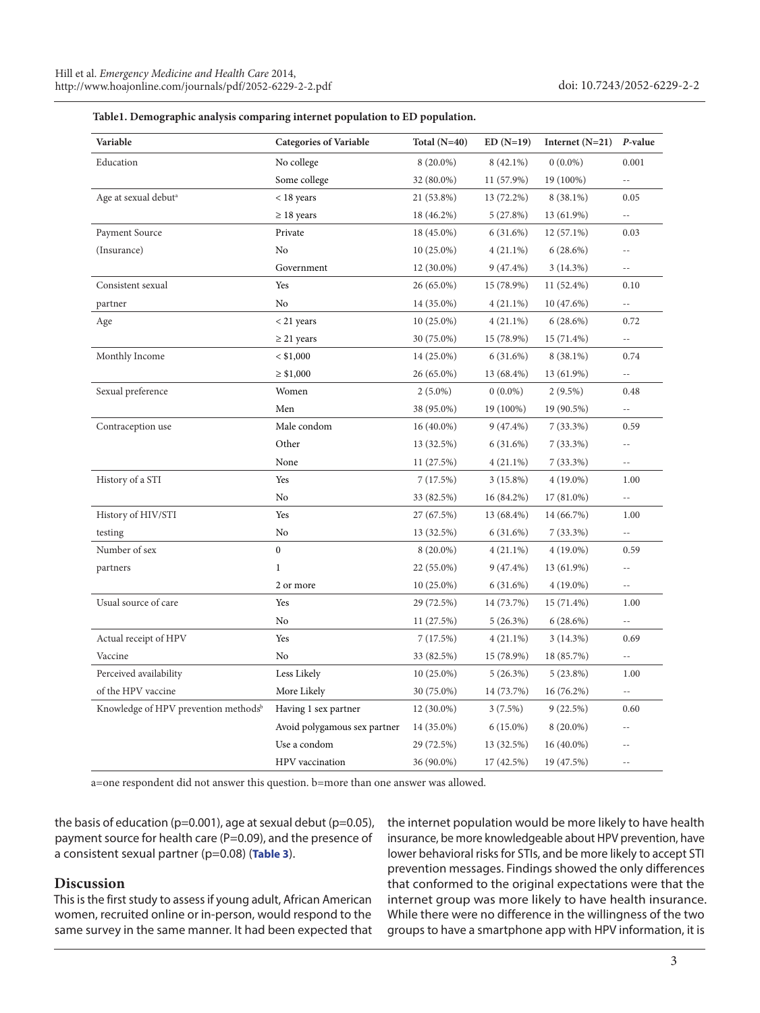| Variable                                         | <b>Categories of Variable</b> | Total $(N=40)$ | $ED(N=19)$  | Internet $(N=21)$ | P-value                  |
|--------------------------------------------------|-------------------------------|----------------|-------------|-------------------|--------------------------|
| Education                                        | No college                    | $8(20.0\%)$    | $8(42.1\%)$ | $0(0.0\%)$        | 0.001                    |
|                                                  | Some college                  | 32 (80.0%)     | 11 (57.9%)  | 19 (100%)         | $\overline{\phantom{a}}$ |
| Age at sexual debut <sup>a</sup>                 | < 18 years                    | 21 (53.8%)     | 13 (72.2%)  | $8(38.1\%)$       | 0.05                     |
|                                                  | $\geq 18$ years               | 18 (46.2%)     | 5(27.8%)    | 13 (61.9%)        | $-$                      |
| Payment Source                                   | Private                       | 18 (45.0%)     | 6(31.6%)    | $12(57.1\%)$      | 0.03                     |
| (Insurance)                                      | No                            | $10(25.0\%)$   | $4(21.1\%)$ | 6(28.6%)          |                          |
|                                                  | Government                    | 12 (30.0%)     | $9(47.4\%)$ | 3(14.3%)          | $- -$                    |
| Consistent sexual                                | Yes                           | 26 (65.0%)     | 15 (78.9%)  | 11 (52.4%)        | 0.10                     |
| partner                                          | No                            | 14 (35.0%)     | $4(21.1\%)$ | 10 (47.6%)        | $-$                      |
| Age                                              | $<$ 21 years                  | $10(25.0\%)$   | $4(21.1\%)$ | 6(28.6%)          | 0.72                     |
|                                                  | $\geq$ 21 years               | 30 (75.0%)     | 15 (78.9%)  | $15(71.4\%)$      | $\overline{\phantom{a}}$ |
| Monthly Income                                   | $<$ \$1,000                   | 14 (25.0%)     | 6(31.6%)    | $8(38.1\%)$       | 0.74                     |
|                                                  | $\geq$ \$1,000                | 26 (65.0%)     | 13 (68.4%)  | 13 (61.9%)        | $\overline{\phantom{a}}$ |
| Sexual preference                                | Women                         | $2(5.0\%)$     | $0(0.0\%)$  | $2(9.5\%)$        | 0.48                     |
|                                                  | Men                           | 38 (95.0%)     | 19 (100%)   | 19 (90.5%)        | $\overline{\phantom{a}}$ |
| Contraception use                                | Male condom                   | $16(40.0\%)$   | $9(47.4\%)$ | $7(33.3\%)$       | 0.59                     |
|                                                  | Other                         | 13 (32.5%)     | 6(31.6%)    | $7(33.3\%)$       | $-$                      |
|                                                  | None                          | 11 (27.5%)     | $4(21.1\%)$ | 7(33.3%)          | $-$                      |
| History of a STI                                 | Yes                           | 7(17.5%)       | 3(15.8%)    | $4(19.0\%)$       | 1.00                     |
|                                                  | No                            | 33 (82.5%)     | 16 (84.2%)  | 17 (81.0%)        | $- -$                    |
| History of HIV/STI                               | Yes                           | 27 (67.5%)     | 13 (68.4%)  | 14 (66.7%)        | 1.00                     |
| testing                                          | No                            | 13 (32.5%)     | 6 (31.6%)   | 7(33.3%)          | 44                       |
| Number of sex                                    | $\boldsymbol{0}$              | $8(20.0\%)$    | $4(21.1\%)$ | $4(19.0\%)$       | 0.59                     |
| partners                                         | $\mathbf{1}$                  | 22 (55.0%)     | 9 (47.4%)   | 13 (61.9%)        | $-$                      |
|                                                  | 2 or more                     | $10(25.0\%)$   | 6 (31.6%)   | $4(19.0\%)$       | $-1$                     |
| Usual source of care                             | Yes                           | 29 (72.5%)     | 14 (73.7%)  | 15 (71.4%)        | 1.00                     |
|                                                  | No                            | 11 (27.5%)     | 5(26.3%)    | 6(28.6%)          | $-$                      |
| Actual receipt of HPV                            | Yes                           | 7(17.5%)       | $4(21.1\%)$ | $3(14.3\%)$       | 0.69                     |
| Vaccine                                          | No                            | 33 (82.5%)     | 15 (78.9%)  | 18 (85.7%)        |                          |
| Perceived availability                           | Less Likely                   | $10(25.0\%)$   | 5(26.3%)    | $5(23.8\%)$       | 1.00                     |
| of the HPV vaccine                               | More Likely                   | 30 (75.0%)     | 14 (73.7%)  | $16(76.2\%)$      |                          |
| Knowledge of HPV prevention methods <sup>b</sup> | Having 1 sex partner          | $12(30.0\%)$   | 3(7.5%)     | 9(22.5%)          | 0.60                     |
|                                                  | Avoid polygamous sex partner  | 14 (35.0%)     | $6(15.0\%)$ | $8(20.0\%)$       |                          |
|                                                  | Use a condom                  | 29 (72.5%)     | 13 (32.5%)  | 16 (40.0%)        |                          |
|                                                  | HPV vaccination               | 36 (90.0%)     | 17 (42.5%)  | 19 (47.5%)        | $\overline{a}$           |

<span id="page-2-0"></span>

a=one respondent did not answer this question. b=more than one answer was allowed.

the basis of education ( $p=0.001$ ), age at sexual debut ( $p=0.05$ ), payment source for health care (P=0.09), and the presence of a consistent sexual partner (p=0.08) (**[Table 3](#page-3-0)**).

## **Discussion**

This is the first study to assess if young adult, African American women, recruited online or in-person, would respond to the same survey in the same manner. It had been expected that the internet population would be more likely to have health insurance, be more knowledgeable about HPV prevention, have lower behavioral risks for STIs, and be more likely to accept STI prevention messages. Findings showed the only differences that conformed to the original expectations were that the internet group was more likely to have health insurance. While there were no difference in the willingness of the two groups to have a smartphone app with HPV information, it is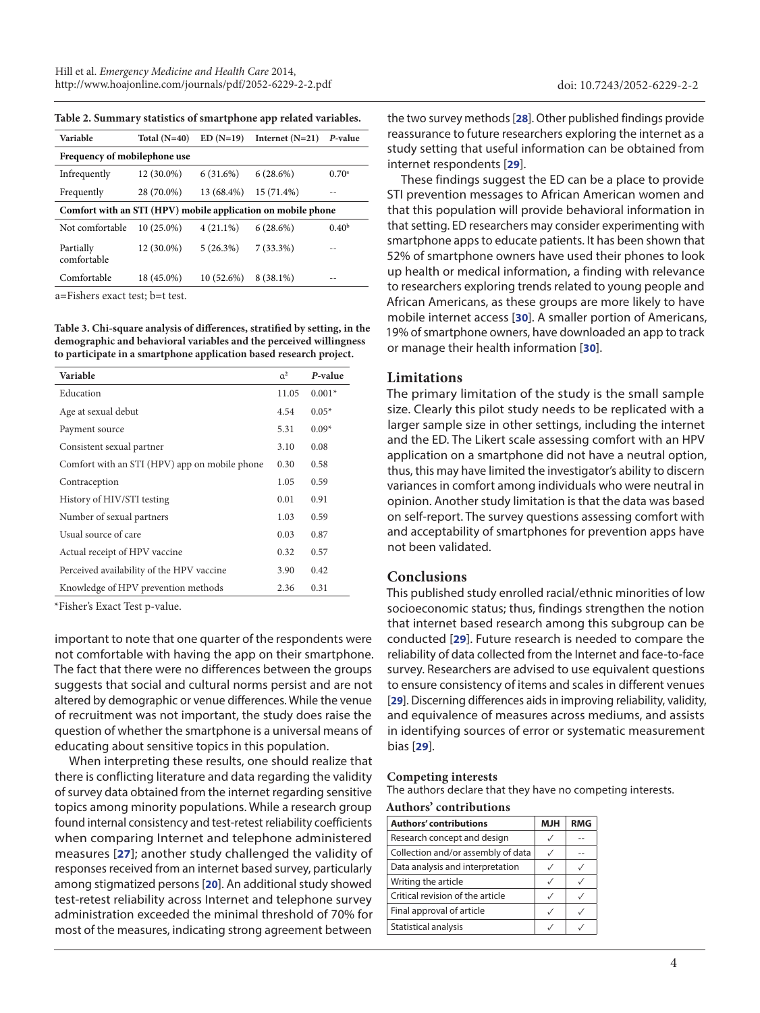<span id="page-3-0"></span>

| Table 2. Summary statistics of smartphone app related variables. |  |  |  |  |  |
|------------------------------------------------------------------|--|--|--|--|--|
|------------------------------------------------------------------|--|--|--|--|--|

| Variable                                                     | Total $(N=40)$ | $ED(N=19)$  | Internet $(N=21)$ | P-value           |  |
|--------------------------------------------------------------|----------------|-------------|-------------------|-------------------|--|
| Frequency of mobilephone use                                 |                |             |                   |                   |  |
| Infrequently                                                 | 12 (30.0%)     | 6(31.6%)    | 6(28.6%)          | $0.70^{\rm a}$    |  |
| Frequently                                                   | 28 (70.0%)     | 13 (68.4%)  | $15(71.4\%)$      |                   |  |
| Comfort with an STI (HPV) mobile application on mobile phone |                |             |                   |                   |  |
| Not comfortable                                              | $10(25.0\%)$   | $4(21.1\%)$ | 6(28.6%)          | 0.40 <sup>b</sup> |  |
| Partially<br>comfortable                                     | 12 (30.0%)     | 5(26.3%)    | $7(33.3\%)$       | - -               |  |
| Comfortable                                                  | 18 (45.0%)     | 10(52.6%)   | $8(38.1\%)$       |                   |  |
|                                                              |                |             |                   |                   |  |

a=Fishers exact test; b=t test.

**Table 3. Chi-square analysis of differences, stratified by setting, in the demographic and behavioral variables and the perceived willingness to participate in a smartphone application based research project.**

| Variable                                      | $\alpha^2$ | P-value  |
|-----------------------------------------------|------------|----------|
| Education                                     | 11.05      | $0.001*$ |
| Age at sexual debut                           | 4.54       | $0.05*$  |
| Payment source                                | 5.31       | $0.09*$  |
| Consistent sexual partner                     | 3.10       | 0.08     |
| Comfort with an STI (HPV) app on mobile phone | 0.30       | 0.58     |
| Contraception                                 | 1.05       | 0.59     |
| History of HIV/STI testing                    | 0.01       | 0.91     |
| Number of sexual partners                     | 1.03       | 0.59     |
| Usual source of care                          | 0.03       | 0.87     |
| Actual receipt of HPV vaccine                 | 0.32       | 0.57     |
| Perceived availability of the HPV vaccine     | 3.90       | 0.42     |
| Knowledge of HPV prevention methods           | 2.36       | 0.31     |
|                                               |            |          |

\*Fisher's Exact Test p-value.

important to note that one quarter of the respondents were not comfortable with having the app on their smartphone. The fact that there were no differences between the groups suggests that social and cultural norms persist and are not altered by demographic or venue differences. While the venue of recruitment was not important, the study does raise the question of whether the smartphone is a universal means of educating about sensitive topics in this population.

When interpreting these results, one should realize that there is conflicting literature and data regarding the validity of survey data obtained from the internet regarding sensitive topics among minority populations. While a research group found internal consistency and test-retest reliability coefficients when comparing Internet and telephone administered measures [**[27](#page-4-20)**]; another study challenged the validity of responses received from an internet based survey, particularly among stigmatized persons [**[20](#page-4-13)**]. An additional study showed test-retest reliability across Internet and telephone survey administration exceeded the minimal threshold of 70% for most of the measures, indicating strong agreement between the two survey methods [**[28](#page-4-21)**]. Other published findings provide reassurance to future researchers exploring the internet as a study setting that useful information can be obtained from internet respondents [**[29](#page-4-22)**].

These findings suggest the ED can be a place to provide STI prevention messages to African American women and that this population will provide behavioral information in that setting. ED researchers may consider experimenting with smartphone apps to educate patients. It has been shown that 52% of smartphone owners have used their phones to look up health or medical information, a finding with relevance to researchers exploring trends related to young people and African Americans, as these groups are more likely to have mobile internet access [**[30](#page-4-23)**]. A smaller portion of Americans, 19% of smartphone owners, have downloaded an app to track or manage their health information [**[30](#page-4-23)**].

#### **Limitations**

The primary limitation of the study is the small sample size. Clearly this pilot study needs to be replicated with a larger sample size in other settings, including the internet and the ED. The Likert scale assessing comfort with an HPV application on a smartphone did not have a neutral option, thus, this may have limited the investigator's ability to discern variances in comfort among individuals who were neutral in opinion. Another study limitation is that the data was based on self-report. The survey questions assessing comfort with and acceptability of smartphones for prevention apps have not been validated.

## **Conclusions**

This published study enrolled racial/ethnic minorities of low socioeconomic status; thus, findings strengthen the notion that internet based research among this subgroup can be conducted [**[29](#page-4-22)**]. Future research is needed to compare the reliability of data collected from the Internet and face-to-face survey. Researchers are advised to use equivalent questions to ensure consistency of items and scales in different venues [**[29](#page-4-22)**]. Discerning differences aids in improving reliability, validity, and equivalence of measures across mediums, and assists in identifying sources of error or systematic measurement bias [**[29](#page-4-22)**].

#### **Competing interests**

The authors declare that they have no competing interests.

**Authors' contributions**

| <b>Authors' contributions</b>      | <b>MJH</b> | <b>RMG</b> |  |  |  |
|------------------------------------|------------|------------|--|--|--|
| Research concept and design        |            |            |  |  |  |
| Collection and/or assembly of data |            |            |  |  |  |
| Data analysis and interpretation   |            |            |  |  |  |
| Writing the article                |            |            |  |  |  |
| Critical revision of the article   |            |            |  |  |  |
| Final approval of article          |            |            |  |  |  |
| Statistical analysis               |            |            |  |  |  |